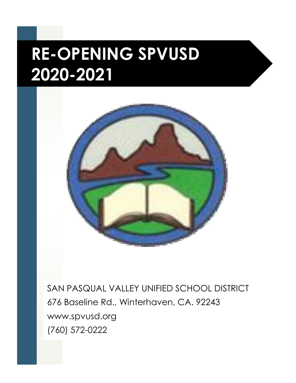## **RE-OPENING SPVUSD 2020-2021**



SAN PASQUAL VALLEY UNIFIED SCHOOL DISTRICT 676 Baseline Rd., Winterhaven, CA. 92243 www.spvusd.org (760) 572-0222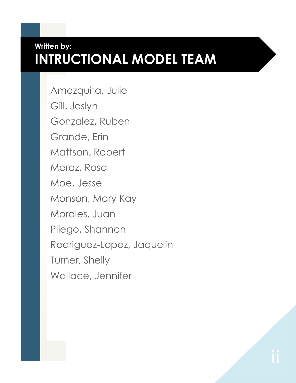#### **Written by: INTRUCTIONAL MODEL TEAM**

Amezquita, Julie Gill, Joslyn Gonzalez, Ruben Grande, Erin Mattson, Robert Meraz, Rosa Moe, Jesse Monson, Mary Kay Morales, Juan Pliego, Shannon Rodriguez-Lopez, Jaquelin Turner, Shelly Wallace, Jennifer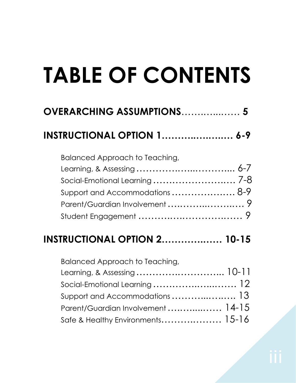# **TABLE OF CONTENTS**

| <b>OVERARCHING ASSUMPTIONS 5</b>                                  |                |
|-------------------------------------------------------------------|----------------|
| <b>INSTRUCTIONAL OPTION 1 6-9</b>                                 |                |
| Balanced Approach to Teaching,<br>Support and Accommodations  8-9 |                |
| <b>INSTRUCTIONAL OPTION 2 10-15</b>                               |                |
| Balanced Approach to Teaching,<br>Lograpia & Accordina            | $1()$ $-1$ $+$ |

| Learning, & Assessing  10-11                                              |  |
|---------------------------------------------------------------------------|--|
| Social-Emotional Learning  12                                             |  |
| Support and Accommodations $\ldots \ldots \ldots \ldots \ldots \ldots$ 13 |  |
| Parent/Guardian Involvement  14-15                                        |  |
|                                                                           |  |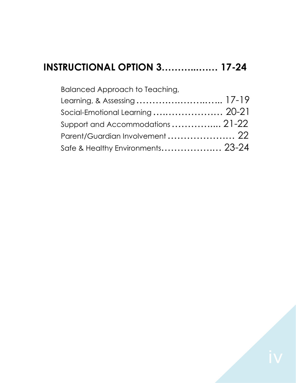#### **INSTRUCTIONAL OPTION 3………...…… 17-24**

| Balanced Approach to Teaching,    |  |
|-----------------------------------|--|
| Learning, & Assessing  17-19      |  |
| Social-Emotional Learning  20-21  |  |
| Support and Accommodations  21-22 |  |
| Parent/Guardian Involvement  22   |  |
| Safe & Healthy Environments 23-24 |  |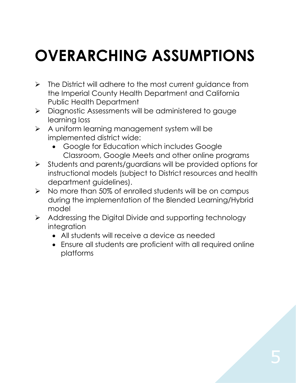## **OVERARCHING ASSUMPTIONS**

- $\triangleright$  The District will adhere to the most current guidance from the Imperial County Health Department and California Public Health Department
- > Diagnostic Assessments will be administered to gauge learning loss
- $\triangleright$  A uniform learning management system will be implemented district wide:
	- Google for Education which includes Google Classroom, Google Meets and other online programs
- $\triangleright$  Students and parents/guardians will be provided options for instructional models (subject to District resources and health department guidelines).
- $\triangleright$  No more than 50% of enrolled students will be on campus during the implementation of the Blended Learning/Hybrid model
- $\triangleright$  Addressing the Digital Divide and supporting technology integration
	- All students will receive a device as needed
	- Ensure all students are proficient with all required online platforms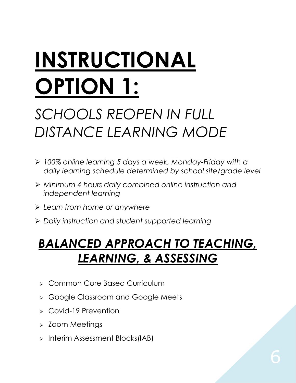# **INSTRUCTIONAL OPTION 1:**

## *SCHOOLS REOPEN IN FULL DISTANCE LEARNING MODE*

- *100% online learning 5 days a week, Monday-Friday with a daily learning schedule determined by school site/grade level*
- *Minimum 4 hours daily combined online instruction and independent learning*
- *Learn from home or anywhere*
- *Daily instruction and student supported learning*

## *BALANCED APPROACH TO TEACHING, LEARNING, & ASSESSING*

- **EX Common Core Based Curriculum**
- **> Google Classroom and Google Meets**
- Covid-19 Prevention
- > Zoom Meetings
- $>$  Interim Assessment Blocks(IAB)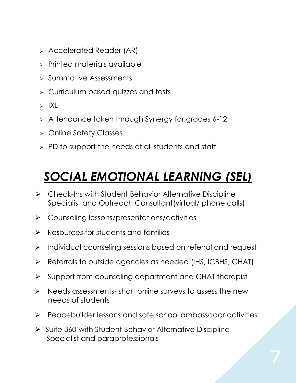- Accelerated Reader (AR)
- **>** Printed materials available
- $\triangleright$  Summative Assessments
- **EX Curriculum based quizzes and tests**
- $>$  IXL
- $\geq$  Attendance taken through Synergy for grades 6-12
- Online Safety Classes
- $\triangleright$  PD to support the needs of all students and staff

## *SOCIAL EMOTIONAL LEARNING (SEL)*

- Check-Ins with Student Behavior Alternative Discipline Specialist and Outreach Consultant(virtual/ phone calls)
- Counseling lessons/presentations/activities
- $\triangleright$  Resources for students and families
- $\triangleright$  Individual counseling sessions based on referral and request
- Referrals to outside agencies as needed (IHS, ICBHS, CHAT)
- $\triangleright$  Support from counseling department and CHAT therapist
- $\triangleright$  Needs assessments- short online surveys to assess the new needs of students
- Peacebuilder lessons and safe school ambassador activities
- $\triangleright$  Suite 360-with Student Behavior Alternative Discipline Specialist and paraprofessionals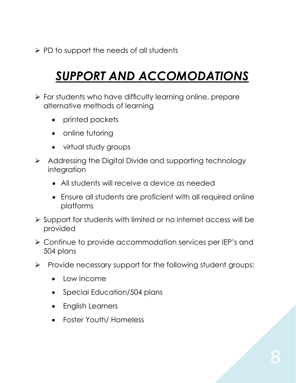$\triangleright$  PD to support the needs of all students

## *SUPPORT AND ACCOMODATIONS*

- $\triangleright$  For students who have difficulty learning online, prepare alternative methods of learning
	- printed packets
	- online tutoring
	- virtual study groups
- $\triangleright$  Addressing the Digital Divide and supporting technology integration
	- All students will receive a device as needed
	- Ensure all students are proficient with all required online platforms
- Support for students with limited or no internet access will be provided
- Continue to provide accommodation services per IEP's and 504 plans
- $\triangleright$  Provide necessary support for the following student groups:
	- Low Income
	- Special Education/504 plans
	- English Learners
	- Foster Youth/ Homeless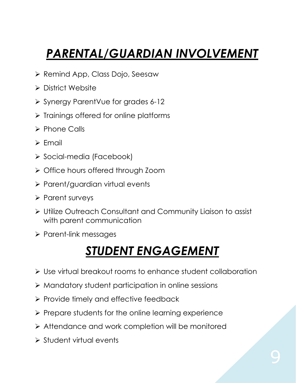## *PARENTAL/GUARDIAN INVOLVEMENT*

- $\triangleright$  Remind App, Class Dojo, Seesaw
- > District Website
- Synergy ParentVue for grades 6-12
- $\triangleright$  Trainings offered for online platforms
- $\triangleright$  Phone Calls
- $\triangleright$  Email
- ▶ Social-media (Facebook)
- $\triangleright$  Office hours offered through Zoom
- $\triangleright$  Parent/guardian virtual events
- $\triangleright$  Parent surveys
- Utilize Outreach Consultant and Community Liaison to assist with parent communication
- $\triangleright$  Parent-link messages

### *STUDENT ENGAGEMENT*

- Use virtual breakout rooms to enhance student collaboration
- $\triangleright$  Mandatory student participation in online sessions
- $\triangleright$  Provide timely and effective feedback
- $\triangleright$  Prepare students for the online learning experience
- Attendance and work completion will be monitored
- $\triangleright$  Student virtual events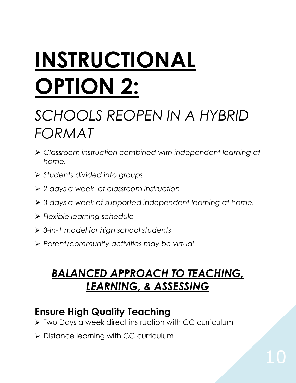# **INSTRUCTIONAL OPTION 2:**

## *SCHOOLS REOPEN IN A HYBRID FORMAT*

- *Classroom instruction combined with independent learning at home.*
- *Students divided into groups*
- *2 days a week of classroom instruction*
- *3 days a week of supported independent learning at home.*
- *Flexible learning schedule*
- *3-in-1 model for high school students*
- *Parent/community activities may be virtual*

#### *BALANCED APPROACH TO TEACHING, LEARNING, & ASSESSING*

#### **Ensure High Quality Teaching**

- ▶ Two Days a week direct instruction with CC curriculum
- > Distance learning with CC curriculum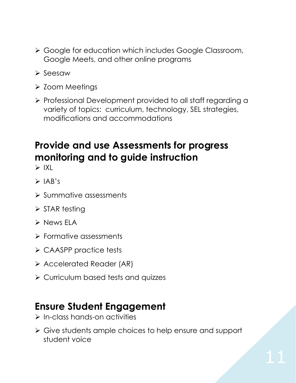- Google for education which includes Google Classroom, Google Meets, and other online programs
- $\triangleright$  Seesaw
- **≻ Zoom Meetings**
- Professional Development provided to all staff regarding a variety of topics: curriculum, technology, SEL strategies, modifications and accommodations

#### **Provide and use Assessments for progress monitoring and to guide instruction**

 $\triangleright$  IXI

- $\triangleright$  IAB's
- $\triangleright$  Summative assessments
- $\triangleright$  STAR testing
- $\triangleright$  News ELA
- Formative assessments
- CAASPP practice tests
- Accelerated Reader (AR)
- **▶ Curriculum based tests and quizzes**

#### **Ensure Student Engagement**

- $\triangleright$  In-class hands-on activities
- Give students ample choices to help ensure and support student voice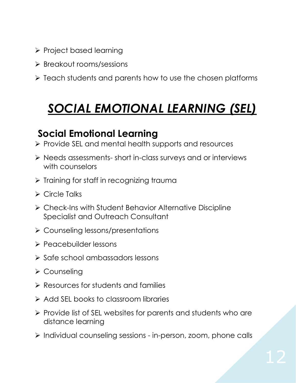- Project based learning
- Breakout rooms/sessions
- $\triangleright$  Teach students and parents how to use the chosen platforms

## *SOCIAL EMOTIONAL LEARNING (SEL)*

#### **Social Emotional Learning**

- ▶ Provide SEL and mental health supports and resources
- Needs assessments- short in-class surveys and or interviews with counselors
- $\triangleright$  Training for staff in recognizing trauma
- Circle Talks
- Check-Ins with Student Behavior Alternative Discipline Specialist and Outreach Consultant
- **≻** Counseling lessons/presentations
- Peacebuilder lessons
- $\triangleright$  Safe school ambassadors lessons
- **≻ Counseling**
- $\triangleright$  Resources for students and families
- $\triangleright$  Add SEL books to classroom libraries
- $\triangleright$  Provide list of SEL websites for parents and students who are distance learning
- $\triangleright$  Individual counseling sessions in-person, zoom, phone calls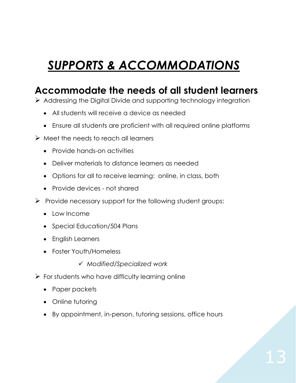## *SUPPORTS & ACCOMMODATIONS*

#### **Accommodate the needs of all student learners**

 $\triangleright$  Addressing the Digital Divide and supporting technology integration

- All students will receive a device as needed
- Ensure all students are proficient with all required online platforms
- $\triangleright$  Meet the needs to reach all learners
	- Provide hands-on activities
	- Deliver materials to distance learners as needed
	- Options for all to receive learning: online, in class, both
	- Provide devices not shared
- $\triangleright$  Provide necessary support for the following student groups:
	- Low Income
	- Special Education/504 Plans
	- English Learners
	- Foster Youth/Homeless
		- *Modified/Specialized work*
- $\triangleright$  For students who have difficulty learning online
	- Paper packets
	- Online tutoring
	- By appointment, in-person, tutoring sessions, office hours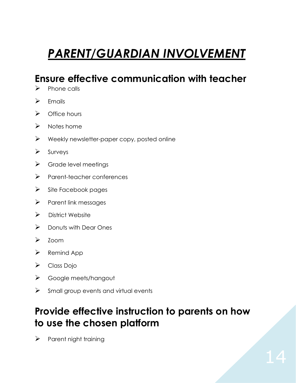## *PARENT/GUARDIAN INVOLVEMENT*

#### **Ensure effective communication with teacher**

- $\triangleright$  Phone calls
- $\triangleright$  Fmails
- $\triangleright$  Office hours
- $\triangleright$  Notes home
- $\triangleright$  Weekly newsletter-paper copy, posted online
- $\triangleright$  Surveys
- $\triangleright$  Grade level meetings
- > Parent-teacher conferences
- $\triangleright$  Site Facebook pages
- $\triangleright$  Parent link messages
- $\triangleright$  District Website
- $\triangleright$  Donuts with Dear Ones
- $\triangleright$  Zoom
- $\triangleright$  Remind App
- Class Dojo
- Google meets/hangout
- $\triangleright$  Small group events and virtual events

#### **Provide effective instruction to parents on how to use the chosen platform**

 $\triangleright$  Parent night training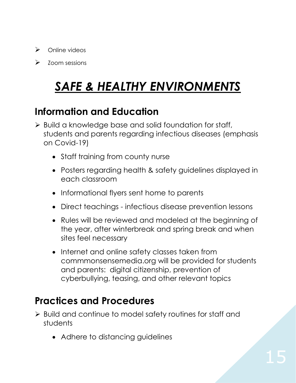- $\triangleright$  Online videos
- $\triangleright$  Zoom sessions

## *SAFE & HEALTHY ENVIRONMENTS*

#### **Information and Education**

- $\triangleright$  Build a knowledge base and solid foundation for staff, students and parents regarding infectious diseases (emphasis on Covid-19)
	- Staff training from county nurse
	- Posters regarding health & safety guidelines displayed in each classroom
	- Informational flyers sent home to parents
	- Direct teachings infectious disease prevention lessons
	- Rules will be reviewed and modeled at the beginning of the year, after winterbreak and spring break and when sites feel necessary
	- Internet and online safety classes taken from commmonsensemedia.org will be provided for students and parents: digital citizenship, prevention of cyberbullying, teasing, and other relevant topics

#### **Practices and Procedures**

- Build and continue to model safety routines for staff and students
	- Adhere to distancing guidelines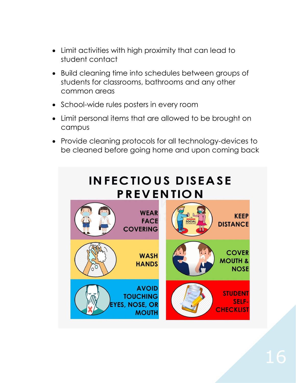- Limit activities with high proximity that can lead to student contact
- Build cleaning time into schedules between groups of students for classrooms, bathrooms and any other common areas
- School-wide rules posters in every room
- Limit personal items that are allowed to be brought on campus
- Provide cleaning protocols for all technology-devices to be cleaned before going home and upon coming back

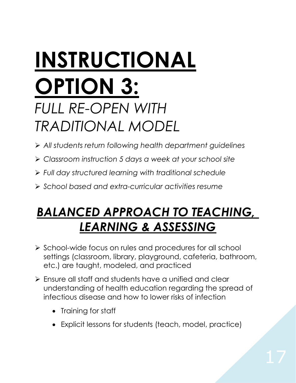## **INSTRUCTIONAL OPTION 3:** *FULL RE-OPEN WITH TRADITIONAL MODEL*

- *All students return following health department guidelines*
- *Classroom instruction 5 days a week at your school site*
- *Full day structured learning with traditional schedule*
- *School based and extra-curricular activities resume*

### *BALANCED APPROACH TO TEACHING, LEARNING & ASSESSING*

- $\triangleright$  School-wide focus on rules and procedures for all school settings (classroom, library, playground, cafeteria, bathroom, etc.) are taught, modeled, and practiced
- Ensure all staff and students have a unified and clear understanding of health education regarding the spread of infectious disease and how to lower risks of infection
	- Training for staff
	- Explicit lessons for students (teach, model, practice)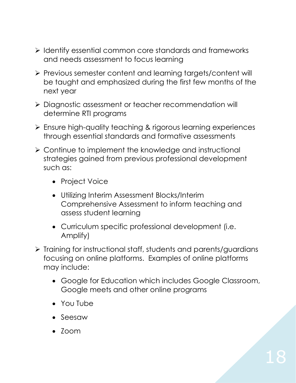- $\triangleright$  Identify essential common core standards and frameworks and needs assessment to focus learning
- Previous semester content and learning targets/content will be taught and emphasized during the first few months of the next year
- Diagnostic assessment or teacher recommendation will determine RTI programs
- Ensure high-quality teaching & rigorous learning experiences through essential standards and formative assessments
- Continue to implement the knowledge and instructional strategies gained from previous professional development such as:
	- Project Voice
	- Utilizing Interim Assessment Blocks/Interim Comprehensive Assessment to inform teaching and assess student learning
	- Curriculum specific professional development (i.e. Amplify)
- $\triangleright$  Training for instructional staff, students and parents/guardians focusing on online platforms. Examples of online platforms may include:
	- Google for Education which includes Google Classroom, Google meets and other online programs
	- You Tube
	- Seesaw
	- $\bullet$  700 $m$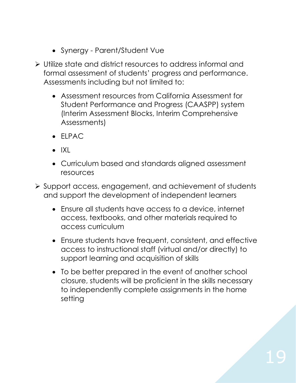- Synergy Parent/Student Vue
- Utilize state and district resources to address informal and formal assessment of students' progress and performance. Assessments including but not limited to:
	- Assessment resources from California Assessment for Student Performance and Progress (CAASPP) system (Interim Assessment Blocks, Interim Comprehensive Assessments)
	- $\bullet$  FIPAC
	- $\bullet$  IXL
	- Curriculum based and standards aligned assessment resources
- Support access, engagement, and achievement of students and support the development of independent learners
	- Ensure all students have access to a device, internet access, textbooks, and other materials required to access curriculum
	- Ensure students have frequent, consistent, and effective access to instructional staff (virtual and/or directly) to support learning and acquisition of skills
	- To be better prepared in the event of another school closure, students will be proficient in the skills necessary to independently complete assignments in the home setting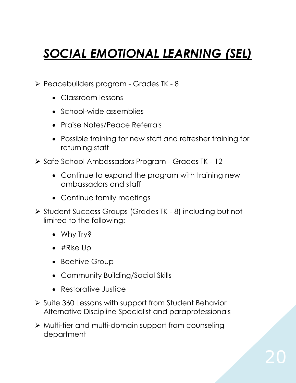## *SOCIAL EMOTIONAL LEARNING (SEL)*

- Peacebuilders program Grades TK 8
	- Classroom lessons
	- School-wide assemblies
	- Praise Notes/Peace Referrals
	- Possible training for new staff and refresher training for returning staff
- ▶ Safe School Ambassadors Program Grades TK 12
	- Continue to expand the program with training new ambassadors and staff
	- Continue family meetings
- ▶ Student Success Groups (Grades TK 8) including but not limited to the following:
	- Why Try?
	- #Rise Up
	- Beehive Group
	- Community Building/Social Skills
	- Restorative Justice
- $\triangleright$  Suite 360 Lessons with support from Student Behavior Alternative Discipline Specialist and paraprofessionals
- Multi-tier and multi-domain support from counseling department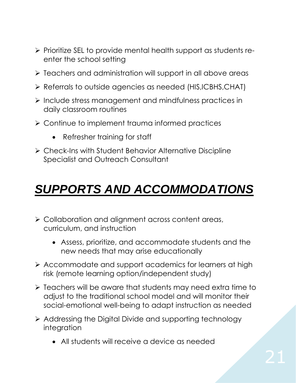- $\triangleright$  Prioritize SEL to provide mental health support as students reenter the school setting
- $\triangleright$  Teachers and administration will support in all above areas
- Referrals to outside agencies as needed (HIS,ICBHS,CHAT)
- $\triangleright$  Include stress management and mindfulness practices in daily classroom routines
- Continue to implement trauma informed practices
	- Refresher training for staff
- Check-Ins with Student Behavior Alternative Discipline Specialist and Outreach Consultant

## *SUPPORTS AND ACCOMMODATIONS*

- Collaboration and alignment across content areas, curriculum, and instruction
	- Assess, prioritize, and accommodate students and the new needs that may arise educationally
- Accommodate and support academics for learners at high risk (remote learning option/independent study)
- $\triangleright$  Teachers will be aware that students may need extra time to adjust to the traditional school model and will monitor their social-emotional well-being to adapt instruction as needed
- $\triangleright$  Addressing the Digital Divide and supporting technology integration
	- All students will receive a device as needed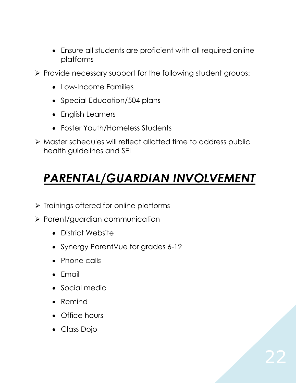- Ensure all students are proficient with all required online platforms
- $\triangleright$  Provide necessary support for the following student groups:
	- Low-Income Families
	- Special Education/504 plans
	- English Learners
	- Foster Youth/Homeless Students
- Master schedules will reflect allotted time to address public health guidelines and SEL

## *PARENTAL/GUARDIAN INVOLVEMENT*

- $\triangleright$  Trainings offered for online platforms
- $\triangleright$  Parent/guardian communication
	- District Website
	- Synergy ParentVue for grades 6-12
	- Phone calls
	- $\bullet$  Fmail
	- Social media
	- Remind
	- Office hours
	- Class Dojo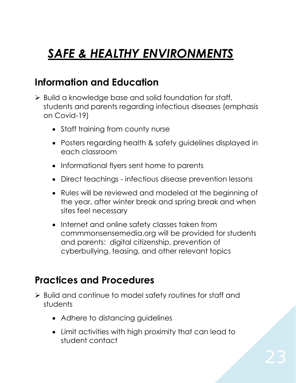## *SAFE & HEALTHY ENVIRONMENTS*

#### **Information and Education**

- $\triangleright$  Build a knowledge base and solid foundation for staff, students and parents regarding infectious diseases (emphasis on Covid-19)
	- Staff training from county nurse
	- Posters regarding health & safety guidelines displayed in each classroom
	- Informational flyers sent home to parents
	- Direct teachings infectious disease prevention lessons
	- Rules will be reviewed and modeled at the beginning of the year, after winter break and spring break and when sites feel necessary
	- Internet and online safety classes taken from commmonsensemedia.org will be provided for students and parents: digital citizenship, prevention of cyberbullying, teasing, and other relevant topics

#### **Practices and Procedures**

- Build and continue to model safety routines for staff and students
	- Adhere to distancing guidelines
	- Limit activities with high proximity that can lead to student contact